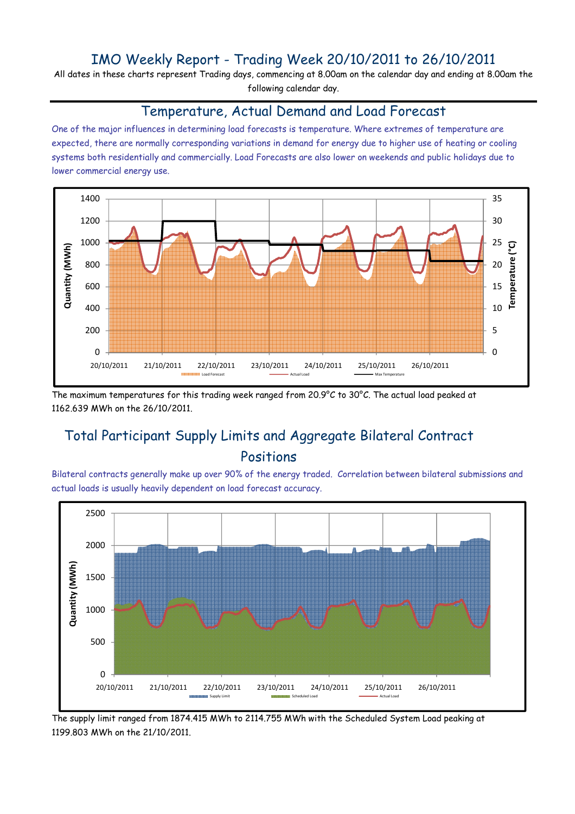### IMO Weekly Report - Trading Week 20/10/2011 to 26/10/2011

All dates in these charts represent Trading days, commencing at 8.00am on the calendar day and ending at 8.00am the following calendar day.

#### Temperature, Actual Demand and Load Forecast

One of the major influences in determining load forecasts is temperature. Where extremes of temperature are expected, there are normally corresponding variations in demand for energy due to higher use of heating or cooling systems both residentially and commercially. Load Forecasts are also lower on weekends and public holidays due to lower commercial energy use.



The maximum temperatures for this trading week ranged from 20.9°C to 30°C. The actual load peaked at 1162.639 MWh on the 26/10/2011.

# Total Participant Supply Limits and Aggregate Bilateral Contract Positions

Bilateral contracts generally make up over 90% of the energy traded. Correlation between bilateral submissions and actual loads is usually heavily dependent on load forecast accuracy.



The supply limit ranged from 1874.415 MWh to 2114.755 MWh with the Scheduled System Load peaking at 1199.803 MWh on the 21/10/2011.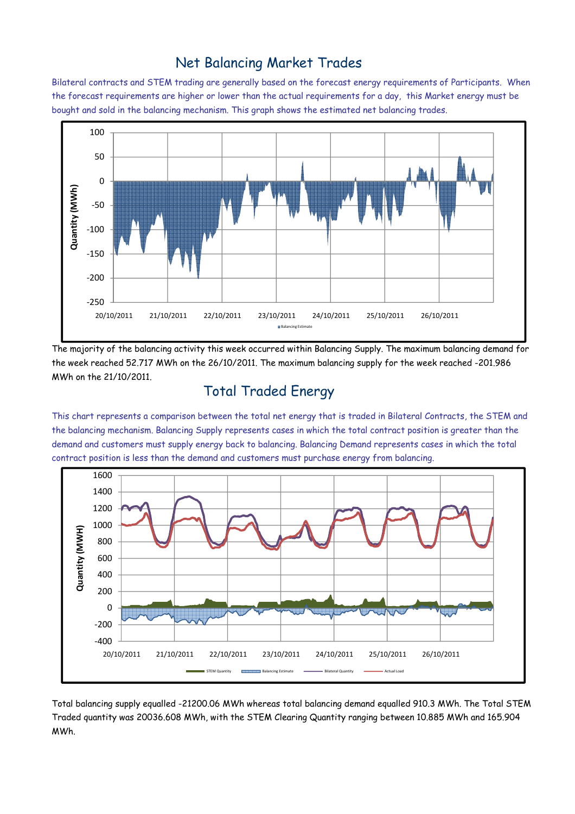#### Net Balancing Market Trades

Bilateral contracts and STEM trading are generally based on the forecast energy requirements of Participants. When the forecast requirements are higher or lower than the actual requirements for a day, this Market energy must be bought and sold in the balancing mechanism. This graph shows the estimated net balancing trades.



The majority of the balancing activity this week occurred within Balancing Supply. The maximum balancing demand for the week reached 52.717 MWh on the 26/10/2011. The maximum balancing supply for the week reached -201.986 MWh on the 21/10/2011.

# Total Traded Energy

This chart represents a comparison between the total net energy that is traded in Bilateral Contracts, the STEM and the balancing mechanism. Balancing Supply represents cases in which the total contract position is greater than the demand and customers must supply energy back to balancing. Balancing Demand represents cases in which the total contract position is less than the demand and customers must purchase energy from balancing.



Total balancing supply equalled -21200.06 MWh whereas total balancing demand equalled 910.3 MWh. The Total STEM Traded quantity was 20036.608 MWh, with the STEM Clearing Quantity ranging between 10.885 MWh and 165.904 MWh.